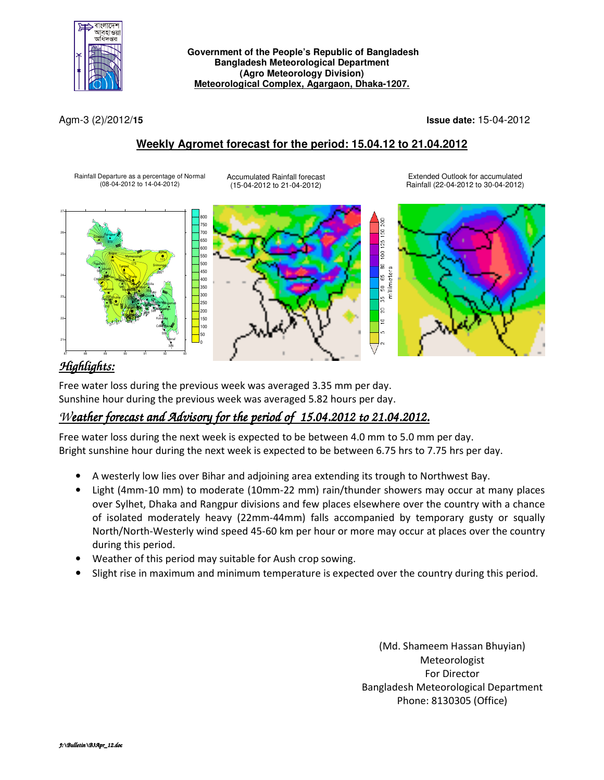

#### **Government of the People's Republic of Bangladesh Bangladesh Meteorological Department (Agro Meteorology Division) Meteorological Complex, Agargaon, Dhaka-1207.**

Agm-3 (2)/2012/**15 Issue date:** 15-04-2012

### **Weekly Agromet forecast for the period: 15.04.12 to 21.04.2012**

Rainfall Departure as a percentage of Normal (08-04-2012 to 14-04-2012)

Accumulated Rainfall forecast (15-04-2012 to 21-04-2012)

Extended Outlook for accumulated Rainfall (22-04-2012 to 30-04-2012)



# *Highlights:*

Free water loss during the previous week was averaged 3.35 mm per day. Sunshine hour during the previous week was averaged 5.82 hours per day.

# *Weather forecast and Advisory for the period of 15.04.2012 to 21.04.2012.*

Free water loss during the next week is expected to be between 4.0 mm to 5.0 mm per day. Bright sunshine hour during the next week is expected to be between 6.75 hrs to 7.75 hrs per day.

- A westerly low lies over Bihar and adjoining area extending its trough to Northwest Bay.
- Light (4mm-10 mm) to moderate (10mm-22 mm) rain/thunder showers may occur at many places over Sylhet, Dhaka and Rangpur divisions and few places elsewhere over the country with a chance of isolated moderately heavy (22mm-44mm) falls accompanied by temporary gusty or squally North/North-Westerly wind speed 45-60 km per hour or more may occur at places over the country during this period.
- Weather of this period may suitable for Aush crop sowing.
- Slight rise in maximum and minimum temperature is expected over the country during this period.

(Md. Shameem Hassan Bhuyian) Meteorologist For Director Bangladesh Meteorological Department Phone: 8130305 (Office)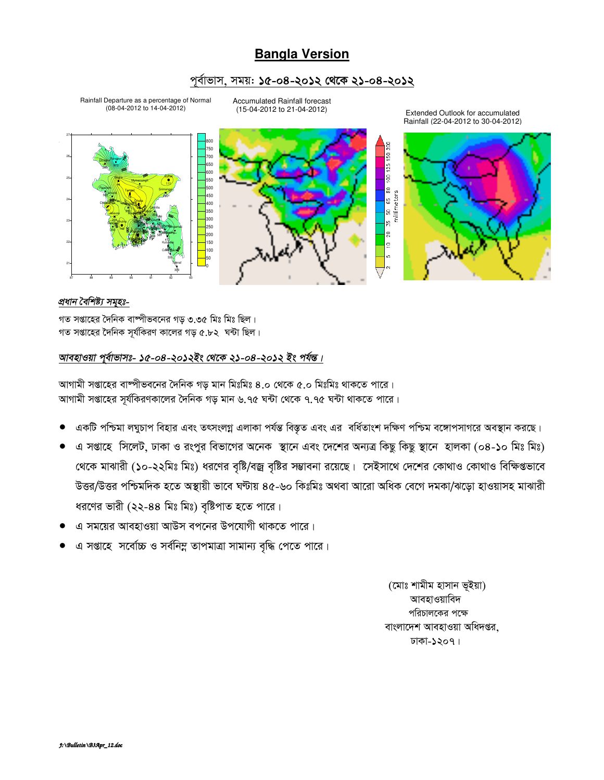## **Bangla Version**

### পর্বাভাস, সময়: ১৫-০৪-২০১২ থেকে ২১-০৪-২০১২

Rainfall Departure as a percentage of Normal<br>(08-04-2012 to 14-04-2012)

**Accumulated Rainfall forecast** (15-04-2012 to 21-04-2012)

125 150 200 750 ,<br>700 **S50** eor 500 읇 5 50 65 80<br>millimeters **450**  $100$ 350 300 Ŗ, <sub>250</sub>  $\mathbb{R}^2$ 200 150  $\Xi$ 100 in,

#### প্ৰধান বৈশিষ্ট্য সমহঃ-

গত সপ্তাহের দৈনিক বাষ্পীভবনের গড় ৩.৩৫ মিঃ মিঃ ছিল। গত সপ্তাহের দৈনিক সর্যকিরণ কালের গড় ৫.৮২ ঘন্টা ছিল।

### আবহাওয়া পুর্বাভাসঃ- ১৫-০৪-২০১২ইং থেকে ২১-০৪-২০১২ ইং পর্যন্ত।

আগামী সপ্তাহের বাষ্পীভবনের দৈনিক গড মান মিঃমিঃ ৪.০ থেকে ৫.০ মিঃমিঃ থাকতে পারে। আগামী সপ্তাহের সূর্যকিরণকালের দৈনিক গড় মান ৬.৭৫ ঘন্টা থেকে ৭.৭৫ ঘন্টা থাকতে পারে।

- একটি পশ্চিমা লঘুচাপ বিহার এবং তৎসংলগ্ন এলাকা পর্যন্ত বিস্তৃত এবং এর বর্ধিতাংশ দক্ষিণ পশ্চিম বঙ্গোপসাগরে অবস্থান করছে।
- এ সপ্তাহে সিলেট, ঢাকা ও রংপুর বিভাগের অনেক স্থানে এবং দেশের অন্যত্র কিছু কিছু স্থানে হালকা (০৪-১০ মিঃ মিঃ) থেকে মাঝারী (১০-২২মিঃ মিঃ) ধরণের বৃষ্টি/বজ্র বৃষ্টির সম্ভাবনা রয়েছে। সেইসাথে দেশের কোথাও কোথাও বিক্ষিগুভাবে উত্তর/উত্তর পশ্চিমদিক হতে অস্থায়ী ভাবে ঘণ্টায় ৪৫-৬০ কিঃমিঃ অথবা আরো অধিক বেগে দমকা/ঝড়ো হাওয়াসহ মাঝারী ধরণের ভারী (২২-৪৪ মিঃ মিঃ) বৃষ্টিপাত হতে পারে।
- এ সময়ের আবহাওয়া আউস বপনের উপযোগী থাকতে পারে।
- এ সপ্তাহে সর্বোচ্চ ও সর্বনিম্ন তাপমাত্রা সামান্য বৃদ্ধি পেতে পারে।

(মোঃ শামীম হাসান ভূইয়া) আবহাওয়াবিদ পরিচালকের পক্ষে বাংলাদেশ আবহাওয়া অধিদপ্তর. ঢাকা-১২০৭।



Extended Outlook for accumulated Rainfall (22-04-2012 to 30-04-2012)